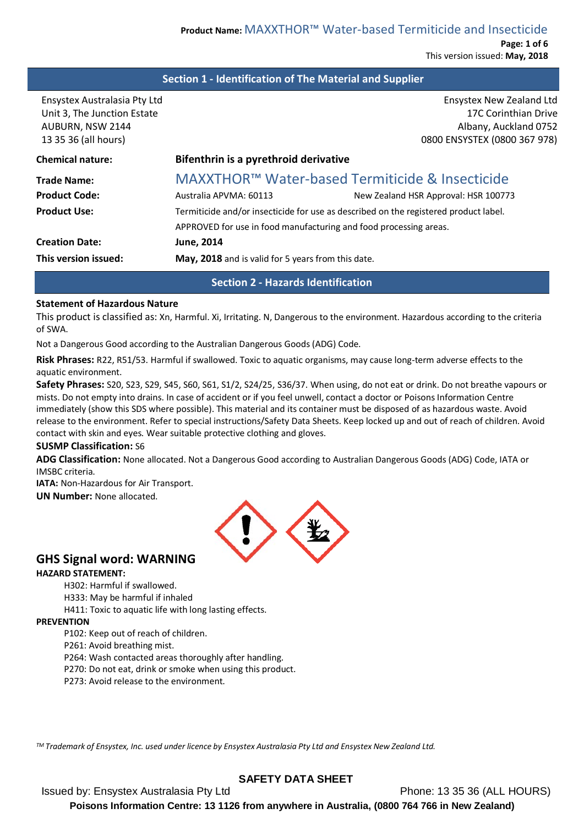**Page: 1 of 6** This version issued: **May, 2018**

### **Section 1 - Identification of The Material and Supplier**

| <b>Ensystex New Zealand Ltd</b><br>17C Corinthian Drive<br>Albany, Auckland 0752<br>0800 ENSYSTEX (0800 367 978) |  |  |
|------------------------------------------------------------------------------------------------------------------|--|--|
| Bifenthrin is a pyrethroid derivative                                                                            |  |  |
| MAXXTHOR™ Water-based Termiticide & Insecticide                                                                  |  |  |
| Australia APVMA: 60113<br>New Zealand HSR Approval: HSR 100773                                                   |  |  |
| Termiticide and/or insecticide for use as described on the registered product label.                             |  |  |
| APPROVED for use in food manufacturing and food processing areas.                                                |  |  |
| <b>June, 2014</b>                                                                                                |  |  |
| May, 2018 and is valid for 5 years from this date.                                                               |  |  |
|                                                                                                                  |  |  |

### **Section 2 - Hazards Identification**

#### **Statement of Hazardous Nature**

This product is classified as: Xn, Harmful. Xi, Irritating. N, Dangerous to the environment. Hazardous according to the criteria of SWA.

Not a Dangerous Good according to the Australian Dangerous Goods (ADG) Code.

**Risk Phrases:** R22, R51/53. Harmful if swallowed. Toxic to aquatic organisms, may cause long-term adverse effects to the aquatic environment.

**Safety Phrases:** S20, S23, S29, S45, S60, S61, S1/2, S24/25, S36/37. When using, do not eat or drink. Do not breathe vapours or mists. Do not empty into drains. In case of accident or if you feel unwell, contact a doctor or Poisons Information Centre immediately (show this SDS where possible). This material and its container must be disposed of as hazardous waste. Avoid release to the environment. Refer to special instructions/Safety Data Sheets. Keep locked up and out of reach of children. Avoid contact with skin and eyes. Wear suitable protective clothing and gloves.

#### **SUSMP Classification:** S6

**ADG Classification:** None allocated. Not a Dangerous Good according to Australian Dangerous Goods (ADG) Code, IATA or IMSBC criteria.

**IATA:** Non-Hazardous for Air Transport.

**UN Number:** None allocated.



## **GHS Signal word: WARNING**

### **HAZARD STATEMENT:**

H302: Harmful if swallowed.

H333: May be harmful if inhaled

H411: Toxic to aquatic life with long lasting effects.

#### **PREVENTION**

P102: Keep out of reach of children.

P261: Avoid breathing mist.

P264: Wash contacted areas thoroughly after handling.

P270: Do not eat, drink or smoke when using this product.

P273: Avoid release to the environment.

*TM Trademark of Ensystex, Inc. used under licence by Ensystex Australasia Pty Ltd and Ensystex New Zealand Ltd.*

## **SAFETY DATA SHEET**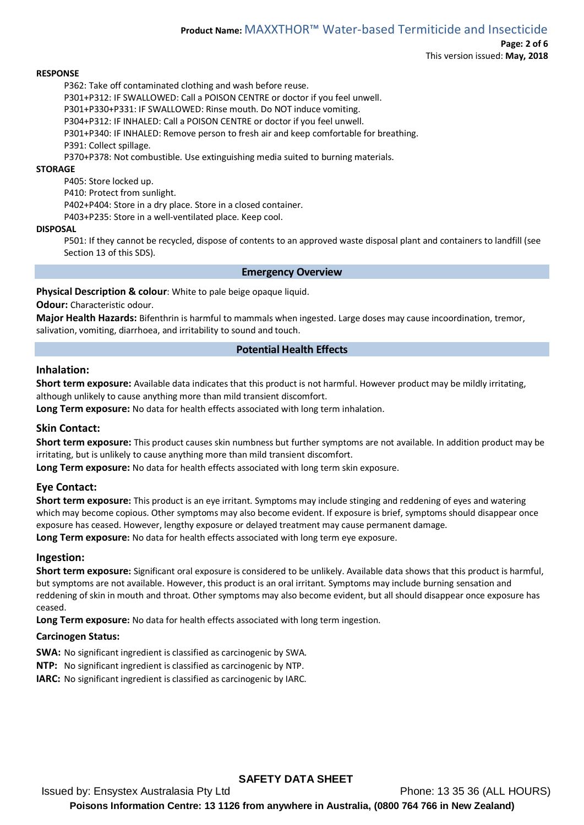**Page: 2 of 6** This version issued: **May, 2018**

#### **RESPONSE**

P362: Take off contaminated clothing and wash before reuse.

P301+P312: IF SWALLOWED: Call a POISON CENTRE or doctor if you feel unwell.

P301+P330+P331: IF SWALLOWED: Rinse mouth. Do NOT induce vomiting.

P304+P312: IF INHALED: Call a POISON CENTRE or doctor if you feel unwell.

P301+P340: IF INHALED: Remove person to fresh air and keep comfortable for breathing.

P391: Collect spillage.

P370+P378: Not combustible. Use extinguishing media suited to burning materials.

#### **STORAGE**

P405: Store locked up.

P410: Protect from sunlight.

P402+P404: Store in a dry place. Store in a closed container.

P403+P235: Store in a well-ventilated place. Keep cool.

#### **DISPOSAL**

P501: If they cannot be recycled, dispose of contents to an approved waste disposal plant and containers to landfill (see Section 13 of this SDS).

#### **Emergency Overview**

**Physical Description & colour**: White to pale beige opaque liquid.

#### **Odour:** Characteristic odour.

**Major Health Hazards:** Bifenthrin is harmful to mammals when ingested. Large doses may cause incoordination, tremor, salivation, vomiting, diarrhoea, and irritability to sound and touch.

### **Potential Health Effects**

#### **Inhalation:**

**Short term exposure:** Available data indicates that this product is not harmful. However product may be mildly irritating, although unlikely to cause anything more than mild transient discomfort.

**Long Term exposure:** No data for health effects associated with long term inhalation.

### **Skin Contact:**

**Short term exposure:** This product causes skin numbness but further symptoms are not available. In addition product may be irritating, but is unlikely to cause anything more than mild transient discomfort.

**Long Term exposure:** No data for health effects associated with long term skin exposure.

### **Eye Contact:**

**Short term exposure:** This product is an eye irritant. Symptoms may include stinging and reddening of eyes and watering which may become copious. Other symptoms may also become evident. If exposure is brief, symptoms should disappear once exposure has ceased. However, lengthy exposure or delayed treatment may cause permanent damage. **Long Term exposure:** No data for health effects associated with long term eye exposure.

# **Ingestion:**

**Short term exposure:** Significant oral exposure is considered to be unlikely. Available data shows that this product is harmful, but symptoms are not available. However, this product is an oral irritant. Symptoms may include burning sensation and reddening of skin in mouth and throat. Other symptoms may also become evident, but all should disappear once exposure has ceased.

**Long Term exposure:** No data for health effects associated with long term ingestion.

### **Carcinogen Status:**

- **SWA:** No significant ingredient is classified as carcinogenic by SWA.
- **NTP:** No significant ingredient is classified as carcinogenic by NTP.
- **IARC:** No significant ingredient is classified as carcinogenic by IARC.

## **SAFETY DATA SHEET**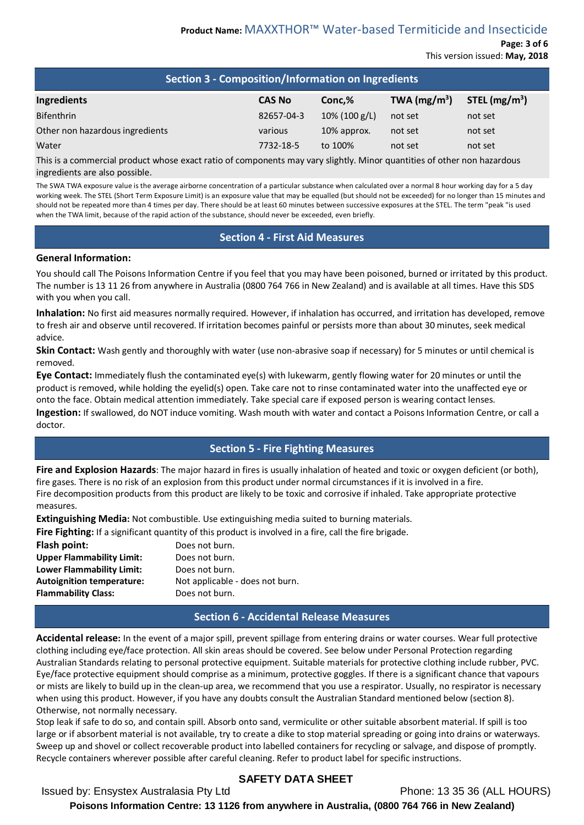**Page: 3 of 6** This version issued: **May, 2018**

| Section 3 - Composition/Information on Ingredients                                                                                                                                                                              |               |                  |                |                 |
|---------------------------------------------------------------------------------------------------------------------------------------------------------------------------------------------------------------------------------|---------------|------------------|----------------|-----------------|
| <b>Ingredients</b>                                                                                                                                                                                                              | <b>CAS No</b> | Conc,%           | TWA $(mg/m^3)$ | STEL $(mg/m^3)$ |
| <b>Bifenthrin</b>                                                                                                                                                                                                               | 82657-04-3    | $10\%$ (100 g/L) | not set        | not set         |
| Other non hazardous ingredients                                                                                                                                                                                                 | various       | 10% approx.      | not set        | not set         |
| Water                                                                                                                                                                                                                           | 7732-18-5     | to 100%          | not set        | not set         |
| $\sim$ . The contract of the contract of the contract of the contract of the contract of the contract of the contract of the contract of the contract of the contract of the contract of the contract of the contract of the co |               |                  |                |                 |

This is a commercial product whose exact ratio of components may vary slightly. Minor quantities of other non hazardous ingredients are also possible.

The SWA TWA exposure value is the average airborne concentration of a particular substance when calculated over a normal 8 hour working day for a 5 day working week. The STEL (Short Term Exposure Limit) is an exposure value that may be equalled (but should not be exceeded) for no longer than 15 minutes and should not be repeated more than 4 times per day. There should be at least 60 minutes between successive exposures at the STEL. The term "peak "is used when the TWA limit, because of the rapid action of the substance, should never be exceeded, even briefly.

## **Section 4 - First Aid Measures**

### **General Information:**

You should call The Poisons Information Centre if you feel that you may have been poisoned, burned or irritated by this product. The number is 13 11 26 from anywhere in Australia (0800 764 766 in New Zealand) and is available at all times. Have this SDS with you when you call.

**Inhalation:** No first aid measures normally required. However, if inhalation has occurred, and irritation has developed, remove to fresh air and observe until recovered. If irritation becomes painful or persists more than about 30 minutes, seek medical advice.

**Skin Contact:** Wash gently and thoroughly with water (use non-abrasive soap if necessary) for 5 minutes or until chemical is removed.

**Eye Contact:** Immediately flush the contaminated eye(s) with lukewarm, gently flowing water for 20 minutes or until the product is removed, while holding the eyelid(s) open. Take care not to rinse contaminated water into the unaffected eye or onto the face. Obtain medical attention immediately. Take special care if exposed person is wearing contact lenses. **Ingestion:** If swallowed, do NOT induce vomiting. Wash mouth with water and contact a Poisons Information Centre, or call a doctor.

# **Section 5 - Fire Fighting Measures**

**Fire and Explosion Hazards**: The major hazard in fires is usually inhalation of heated and toxic or oxygen deficient (or both), fire gases. There is no risk of an explosion from this product under normal circumstances if it is involved in a fire. Fire decomposition products from this product are likely to be toxic and corrosive if inhaled. Take appropriate protective measures.

**Extinguishing Media:** Not combustible. Use extinguishing media suited to burning materials.

**Fire Fighting:** If a significant quantity of this product is involved in a fire, call the fire brigade.

**Flash point:** Does not burn. **Upper Flammability Limit:** Does not burn. **Lower Flammability Limit:** Does not burn. **Autoignition temperature:** Not applicable - does not burn. **Flammability Class:** Does not burn.

### **Section 6 - Accidental Release Measures**

**Accidental release:** In the event of a major spill, prevent spillage from entering drains or water courses. Wear full protective clothing including eye/face protection. All skin areas should be covered. See below under Personal Protection regarding Australian Standards relating to personal protective equipment. Suitable materials for protective clothing include rubber, PVC. Eye/face protective equipment should comprise as a minimum, protective goggles. If there is a significant chance that vapours or mists are likely to build up in the clean-up area, we recommend that you use a respirator. Usually, no respirator is necessary when using this product. However, if you have any doubts consult the Australian Standard mentioned below (section 8). Otherwise, not normally necessary.

Stop leak if safe to do so, and contain spill. Absorb onto sand, vermiculite or other suitable absorbent material. If spill is too large or if absorbent material is not available, try to create a dike to stop material spreading or going into drains or waterways. Sweep up and shovel or collect recoverable product into labelled containers for recycling or salvage, and dispose of promptly. Recycle containers wherever possible after careful cleaning. Refer to product label for specific instructions.

# **SAFETY DATA SHEET**

Issued by: Ensystex Australasia Pty Ltd Phone: 13 35 36 (ALL HOURS)

**Poisons Information Centre: 13 1126 from anywhere in Australia, (0800 764 766 in New Zealand)**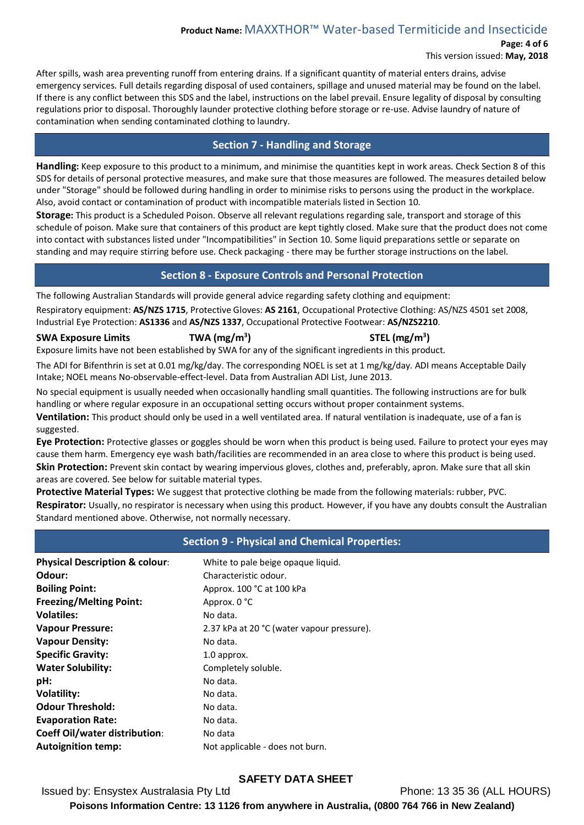**Page: 4 of 6**

This version issued: **May, 2018**

After spills, wash area preventing runoff from entering drains. If a significant quantity of material enters drains, advise emergency services. Full details regarding disposal of used containers, spillage and unused material may be found on the label. If there is any conflict between this SDS and the label, instructions on the label prevail. Ensure legality of disposal by consulting regulations prior to disposal. Thoroughly launder protective clothing before storage or re-use. Advise laundry of nature of contamination when sending contaminated clothing to laundry.

## **Section 7 - Handling and Storage**

**Handling:** Keep exposure to this product to a minimum, and minimise the quantities kept in work areas. Check Section 8 of this SDS for details of personal protective measures, and make sure that those measures are followed. The measures detailed below under "Storage" should be followed during handling in order to minimise risks to persons using the product in the workplace. Also, avoid contact or contamination of product with incompatible materials listed in Section 10.

**Storage:** This product is a Scheduled Poison. Observe all relevant regulations regarding sale, transport and storage of this schedule of poison. Make sure that containers of this product are kept tightly closed. Make sure that the product does not come into contact with substances listed under "Incompatibilities" in Section 10. Some liquid preparations settle or separate on standing and may require stirring before use. Check packaging - there may be further storage instructions on the label.

# **Section 8 - Exposure Controls and Personal Protection**

The following Australian Standards will provide general advice regarding safety clothing and equipment:

Respiratory equipment: **AS/NZS 1715**, Protective Gloves: **AS 2161**, Occupational Protective Clothing: AS/NZS 4501 set 2008, Industrial Eye Protection: **AS1336** and **AS/NZS 1337**, Occupational Protective Footwear: **AS/NZS2210**.

### **SWA Exposure Limits TWA (mg/m3**

**) STEL (mg/m3 )**

Exposure limits have not been established by SWA for any of the significant ingredients in this product.

The ADI for Bifenthrin is set at 0.01 mg/kg/day. The corresponding NOEL is set at 1 mg/kg/day. ADI means Acceptable Daily Intake; NOEL means No-observable-effect-level. Data from Australian ADI List, June 2013.

No special equipment is usually needed when occasionally handling small quantities. The following instructions are for bulk handling or where regular exposure in an occupational setting occurs without proper containment systems.

**Ventilation:** This product should only be used in a well ventilated area. If natural ventilation is inadequate, use of a fan is suggested.

**Eye Protection:** Protective glasses or goggles should be worn when this product is being used. Failure to protect your eyes may cause them harm. Emergency eye wash bath/facilities are recommended in an area close to where this product is being used. **Skin Protection:** Prevent skin contact by wearing impervious gloves, clothes and, preferably, apron. Make sure that all skin areas are covered. See below for suitable material types.

**Protective Material Types:** We suggest that protective clothing be made from the following materials: rubber, PVC. **Respirator:** Usually, no respirator is necessary when using this product. However, if you have any doubts consult the Australian Standard mentioned above. Otherwise, not normally necessary.

# **Section 9 - Physical and Chemical Properties:**

| <b>Physical Description &amp; colour:</b> | White to pale beige opaque liquid.         |
|-------------------------------------------|--------------------------------------------|
| Odour:                                    | Characteristic odour.                      |
| <b>Boiling Point:</b>                     | Approx. 100 °C at 100 kPa                  |
| <b>Freezing/Melting Point:</b>            | Approx. 0 °C                               |
| <b>Volatiles:</b>                         | No data.                                   |
| <b>Vapour Pressure:</b>                   | 2.37 kPa at 20 °C (water vapour pressure). |
| <b>Vapour Density:</b>                    | No data.                                   |
| <b>Specific Gravity:</b>                  | 1.0 approx.                                |
| <b>Water Solubility:</b>                  | Completely soluble.                        |
| pH:                                       | No data.                                   |
| <b>Volatility:</b>                        | No data.                                   |
| <b>Odour Threshold:</b>                   | No data.                                   |
| <b>Evaporation Rate:</b>                  | No data.                                   |
| <b>Coeff Oil/water distribution:</b>      | No data                                    |
| <b>Autoignition temp:</b>                 | Not applicable - does not burn.            |

# **SAFETY DATA SHEET**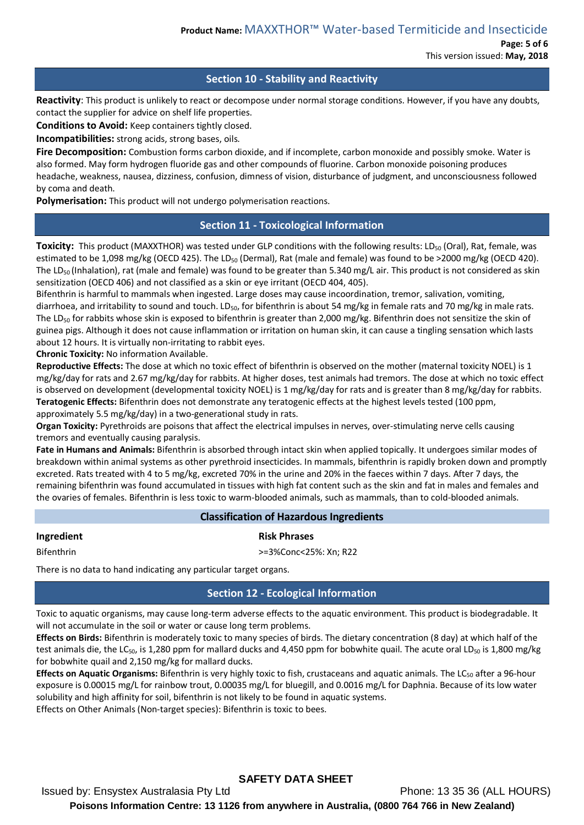**Page: 5 of 6** This version issued: **May, 2018**

### **Section 10 - Stability and Reactivity**

**Reactivity**: This product is unlikely to react or decompose under normal storage conditions. However, if you have any doubts, contact the supplier for advice on shelf life properties.

**Conditions to Avoid:** Keep containers tightly closed.

**Incompatibilities:** strong acids, strong bases, oils.

**Fire Decomposition:** Combustion forms carbon dioxide, and if incomplete, carbon monoxide and possibly smoke. Water is also formed. May form hydrogen fluoride gas and other compounds of fluorine. Carbon monoxide poisoning produces headache, weakness, nausea, dizziness, confusion, dimness of vision, disturbance of judgment, and unconsciousness followed by coma and death.

**Polymerisation:** This product will not undergo polymerisation reactions.

### **Section 11 - Toxicological Information**

**Toxicity:** This product (MAXXTHOR) was tested under GLP conditions with the following results: LD<sub>50</sub> (Oral), Rat, female, was estimated to be 1,098 mg/kg (OECD 425). The LD<sub>50</sub> (Dermal), Rat (male and female) was found to be >2000 mg/kg (OECD 420). The LD<sub>50</sub> (Inhalation), rat (male and female) was found to be greater than 5.340 mg/L air. This product is not considered as skin sensitization (OECD 406) and not classified as a skin or eye irritant (OECD 404, 405).

Bifenthrin is harmful to mammals when ingested. Large doses may cause incoordination, tremor, salivation, vomiting, diarrhoea, and irritability to sound and touch. LD<sub>50</sub>, for bifenthrin is about 54 mg/kg in female rats and 70 mg/kg in male rats. The LD<sub>50</sub> for rabbits whose skin is exposed to bifenthrin is greater than 2,000 mg/kg. Bifenthrin does not sensitize the skin of guinea pigs. Although it does not cause inflammation or irritation on human skin, it can cause a tingling sensation which lasts about 12 hours. It is virtually non-irritating to rabbit eyes.

**Chronic Toxicity:** No information Available.

**Reproductive Effects:** The dose at which no toxic effect of bifenthrin is observed on the mother (maternal toxicity NOEL) is 1 mg/kg/day for rats and 2.67 mg/kg/day for rabbits. At higher doses, test animals had tremors. The dose at which no toxic effect is observed on development (developmental toxicity NOEL) is 1 mg/kg/day for rats and is greater than 8 mg/kg/day for rabbits. **Teratogenic Effects:** Bifenthrin does not demonstrate any teratogenic effects at the highest levels tested (100 ppm, approximately 5.5 mg/kg/day) in a two-generational study in rats.

**Organ Toxicity:** Pyrethroids are poisons that affect the electrical impulses in nerves, over-stimulating nerve cells causing tremors and eventually causing paralysis.

**Fate in Humans and Animals:** Bifenthrin is absorbed through intact skin when applied topically. It undergoes similar modes of breakdown within animal systems as other pyrethroid insecticides. In mammals, bifenthrin is rapidly broken down and promptly excreted. Rats treated with 4 to 5 mg/kg, excreted 70% in the urine and 20% in the faeces within 7 days. After 7 days, the remaining bifenthrin was found accumulated in tissues with high fat content such as the skin and fat in males and females and the ovaries of females. Bifenthrin is less toxic to warm-blooded animals, such as mammals, than to cold-blooded animals.

## **Classification of Hazardous Ingredients**

**Ingredient Risk Phrases** 

Bifenthrin >=3%Conc<25%: Xn; R22

There is no data to hand indicating any particular target organs.

## **Section 12 - Ecological Information**

Toxic to aquatic organisms, may cause long-term adverse effects to the aquatic environment. This product is biodegradable. It will not accumulate in the soil or water or cause long term problems.

**Effects on Birds:** Bifenthrin is moderately toxic to many species of birds. The dietary concentration (8 day) at which half of the test animals die, the LC<sub>50</sub>, is 1,280 ppm for mallard ducks and 4,450 ppm for bobwhite quail. The acute oral LD<sub>50</sub> is 1,800 mg/kg for bobwhite quail and 2,150 mg/kg for mallard ducks.

**Effects on Aquatic Organisms:** Bifenthrin is very highly toxic to fish, crustaceans and aquatic animals. The LC<sub>50</sub> after a 96-hour exposure is 0.00015 mg/L for rainbow trout, 0.00035 mg/L for bluegill, and 0.0016 mg/L for Daphnia. Because of its low water solubility and high affinity for soil, bifenthrin is not likely to be found in aquatic systems.

Effects on Other Animals (Non-target species): Bifenthrin is toxic to bees.

## **SAFETY DATA SHEET**